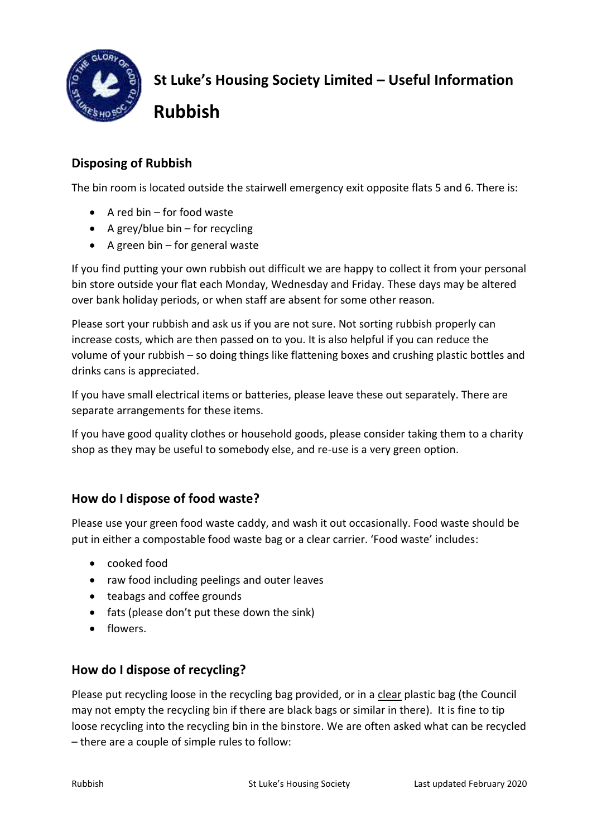

**St Luke's Housing Society Limited – Useful Information** 

**Rubbish**

# **Disposing of Rubbish**

The bin room is located outside the stairwell emergency exit opposite flats 5 and 6. There is:

- $\bullet$  A red bin for food waste
- A grey/blue bin for recycling
- $\bullet$  A green bin for general waste

If you find putting your own rubbish out difficult we are happy to collect it from your personal bin store outside your flat each Monday, Wednesday and Friday. These days may be altered over bank holiday periods, or when staff are absent for some other reason.

Please sort your rubbish and ask us if you are not sure. Not sorting rubbish properly can increase costs, which are then passed on to you. It is also helpful if you can reduce the volume of your rubbish – so doing things like flattening boxes and crushing plastic bottles and drinks cans is appreciated.

If you have small electrical items or batteries, please leave these out separately. There are separate arrangements for these items.

If you have good quality clothes or household goods, please consider taking them to a charity shop as they may be useful to somebody else, and re-use is a very green option.

# **How do I dispose of food waste?**

Please use your green food waste caddy, and wash it out occasionally. Food waste should be put in either a compostable food waste bag or a clear carrier. 'Food waste' includes:

- cooked food
- raw food including peelings and outer leaves
- teabags and coffee grounds
- fats (please don't put these down the sink)
- **•** flowers.

# **How do I dispose of recycling?**

Please put recycling loose in the recycling bag provided, or in a clear plastic bag (the Council may not empty the recycling bin if there are black bags or similar in there). It is fine to tip loose recycling into the recycling bin in the binstore. We are often asked what can be recycled – there are a couple of simple rules to follow: